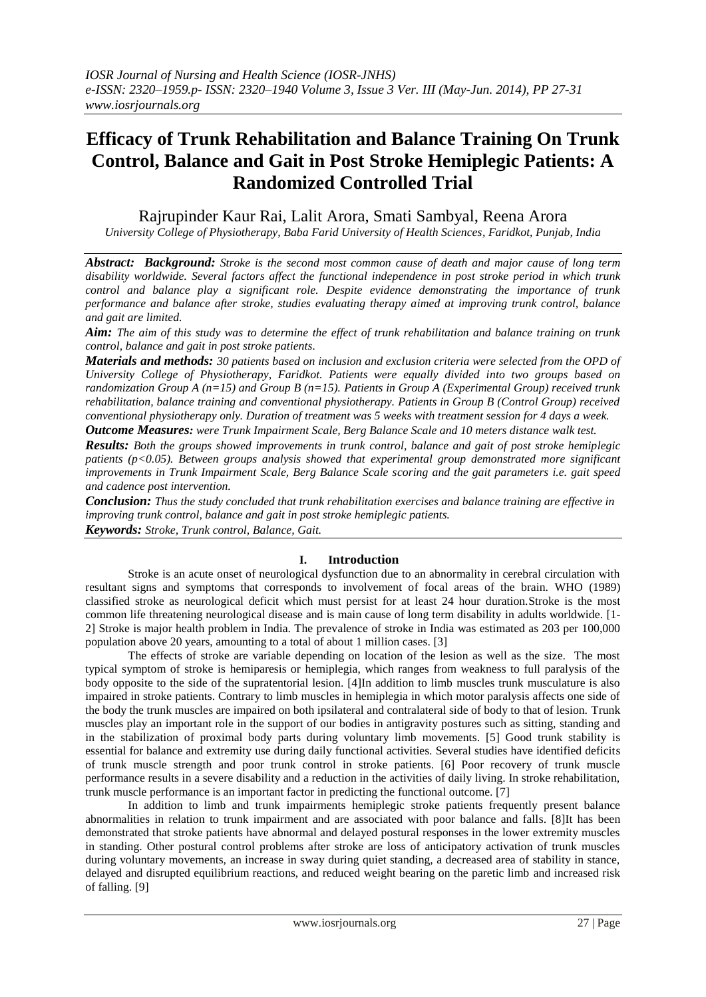# **Efficacy of Trunk Rehabilitation and Balance Training On Trunk Control, Balance and Gait in Post Stroke Hemiplegic Patients: A Randomized Controlled Trial**

Rajrupinder Kaur Rai, Lalit Arora, Smati Sambyal, Reena Arora

*University College of Physiotherapy, Baba Farid University of Health Sciences, Faridkot, Punjab, India*

*Abstract: Background: Stroke is the second most common cause of death and major cause of long term disability worldwide. Several factors affect the functional independence in post stroke period in which trunk control and balance play a significant role. Despite evidence demonstrating the importance of trunk performance and balance after stroke, studies evaluating therapy aimed at improving trunk control, balance and gait are limited.*

*Aim: The aim of this study was to determine the effect of trunk rehabilitation and balance training on trunk control, balance and gait in post stroke patients.*

*Materials and methods: 30 patients based on inclusion and exclusion criteria were selected from the OPD of University College of Physiotherapy, Faridkot. Patients were equally divided into two groups based on randomization Group A (n=15) and Group B (n=15). Patients in Group A (Experimental Group) received trunk rehabilitation, balance training and conventional physiotherapy. Patients in Group B (Control Group) received conventional physiotherapy only. Duration of treatment was 5 weeks with treatment session for 4 days a week. Outcome Measures: were Trunk Impairment Scale, Berg Balance Scale and 10 meters distance walk test.*

*Results: Both the groups showed improvements in trunk control, balance and gait of post stroke hemiplegic patients (p<0.05). Between groups analysis showed that experimental group demonstrated more significant improvements in Trunk Impairment Scale, Berg Balance Scale scoring and the gait parameters i.e. gait speed and cadence post intervention.*

*Conclusion: Thus the study concluded that trunk rehabilitation exercises and balance training are effective in improving trunk control, balance and gait in post stroke hemiplegic patients. Keywords: Stroke, Trunk control, Balance, Gait.*

## **I. Introduction**

Stroke is an acute onset of neurological dysfunction due to an abnormality in cerebral circulation with resultant signs and symptoms that corresponds to involvement of focal areas of the brain. WHO (1989) classified stroke as neurological deficit which must persist for at least 24 hour duration.Stroke is the most common life threatening neurological disease and is main cause of long term disability in adults worldwide. [1- 2] Stroke is major health problem in India. The prevalence of stroke in India was estimated as 203 per 100,000 population above 20 years, amounting to a total of about 1 million cases. [3]

The effects of stroke are variable depending on location of the lesion as well as the size. The most typical symptom of stroke is hemiparesis or hemiplegia, which ranges from weakness to full paralysis of the body opposite to the side of the supratentorial lesion. [4]In addition to limb muscles trunk musculature is also impaired in stroke patients. Contrary to limb muscles in hemiplegia in which motor paralysis affects one side of the body the trunk muscles are impaired on both ipsilateral and contralateral side of body to that of lesion. Trunk muscles play an important role in the support of our bodies in antigravity postures such as sitting, standing and in the stabilization of proximal body parts during voluntary limb movements. [5] Good trunk stability is essential for balance and extremity use during daily functional activities. Several studies have identified deficits of trunk muscle strength and poor trunk control in stroke patients. [6] Poor recovery of trunk muscle performance results in a severe disability and a reduction in the activities of daily living. In stroke rehabilitation, trunk muscle performance is an important factor in predicting the functional outcome. [7]

In addition to limb and trunk impairments hemiplegic stroke patients frequently present balance abnormalities in relation to trunk impairment and are associated with poor balance and falls. [8]It has been demonstrated that stroke patients have abnormal and delayed postural responses in the lower extremity muscles in standing. Other postural control problems after stroke are loss of anticipatory activation of trunk muscles during voluntary movements, an increase in sway during quiet standing, a decreased area of stability in stance, delayed and disrupted equilibrium reactions, and reduced weight bearing on the paretic limb and increased risk of falling. [9]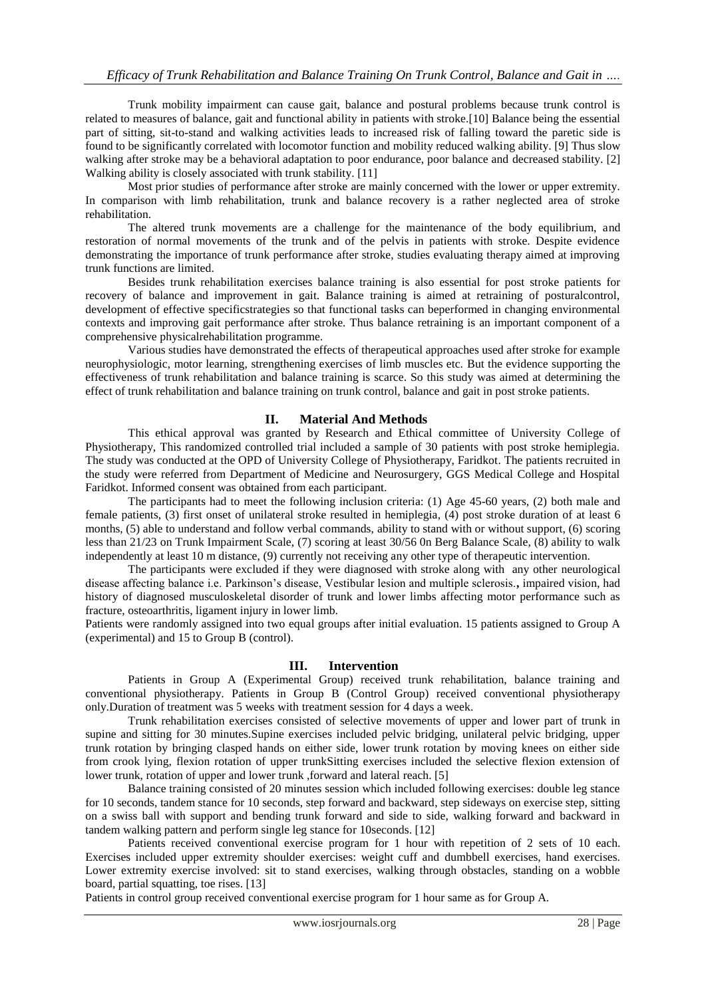Trunk mobility impairment can cause gait, balance and postural problems because trunk control is related to measures of balance, gait and functional ability in patients with stroke.[10] Balance being the essential part of sitting, sit-to-stand and walking activities leads to increased risk of falling toward the paretic side is found to be significantly correlated with locomotor function and mobility reduced walking ability. [9] Thus slow walking after stroke may be a behavioral adaptation to poor endurance, poor balance and decreased stability. [2] Walking ability is closely associated with trunk stability. [11]

Most prior studies of performance after stroke are mainly concerned with the lower or upper extremity. In comparison with limb rehabilitation, trunk and balance recovery is a rather neglected area of stroke rehabilitation.

The altered trunk movements are a challenge for the maintenance of the body equilibrium, and restoration of normal movements of the trunk and of the pelvis in patients with stroke. Despite evidence demonstrating the importance of trunk performance after stroke, studies evaluating therapy aimed at improving trunk functions are limited.

Besides trunk rehabilitation exercises balance training is also essential for post stroke patients for recovery of balance and improvement in gait. Balance training is aimed at retraining of posturalcontrol, development of effective specificstrategies so that functional tasks can beperformed in changing environmental contexts and improving gait performance after stroke. Thus balance retraining is an important component of a comprehensive physicalrehabilitation programme.

Various studies have demonstrated the effects of therapeutical approaches used after stroke for example neurophysiologic, motor learning, strengthening exercises of limb muscles etc. But the evidence supporting the effectiveness of trunk rehabilitation and balance training is scarce. So this study was aimed at determining the effect of trunk rehabilitation and balance training on trunk control, balance and gait in post stroke patients.

#### **II. Material And Methods**

This ethical approval was granted by Research and Ethical committee of University College of Physiotherapy, This randomized controlled trial included a sample of 30 patients with post stroke hemiplegia. The study was conducted at the OPD of University College of Physiotherapy, Faridkot. The patients recruited in the study were referred from Department of Medicine and Neurosurgery, GGS Medical College and Hospital Faridkot. Informed consent was obtained from each participant.

The participants had to meet the following inclusion criteria: (1) Age 45-60 years, (2) both male and female patients, (3) first onset of unilateral stroke resulted in hemiplegia, (4) post stroke duration of at least 6 months, (5) able to understand and follow verbal commands, ability to stand with or without support, (6) scoring less than 21/23 on Trunk Impairment Scale, (7) scoring at least 30/56 0n Berg Balance Scale, (8) ability to walk independently at least 10 m distance, (9) currently not receiving any other type of therapeutic intervention.

The participants were excluded if they were diagnosed with stroke along with any other neurological disease affecting balance i.e. Parkinson's disease, Vestibular lesion and multiple sclerosis.**,** impaired vision, had history of diagnosed musculoskeletal disorder of trunk and lower limbs affecting motor performance such as fracture, osteoarthritis, ligament injury in lower limb.

Patients were randomly assigned into two equal groups after initial evaluation. 15 patients assigned to Group A (experimental) and 15 to Group B (control).

#### **III. Intervention**

Patients in Group A (Experimental Group) received trunk rehabilitation, balance training and conventional physiotherapy. Patients in Group B (Control Group) received conventional physiotherapy only.Duration of treatment was 5 weeks with treatment session for 4 days a week.

Trunk rehabilitation exercises consisted of selective movements of upper and lower part of trunk in supine and sitting for 30 minutes.Supine exercises included pelvic bridging, unilateral pelvic bridging, upper trunk rotation by bringing clasped hands on either side, lower trunk rotation by moving knees on either side from crook lying, flexion rotation of upper trunkSitting exercises included the selective flexion extension of lower trunk, rotation of upper and lower trunk, forward and lateral reach. [5]

Balance training consisted of 20 minutes session which included following exercises: double leg stance for 10 seconds, tandem stance for 10 seconds, step forward and backward, step sideways on exercise step, sitting on a swiss ball with support and bending trunk forward and side to side, walking forward and backward in tandem walking pattern and perform single leg stance for 10seconds. [12]

Patients received conventional exercise program for 1 hour with repetition of 2 sets of 10 each. Exercises included upper extremity shoulder exercises: weight cuff and dumbbell exercises, hand exercises. Lower extremity exercise involved: sit to stand exercises, walking through obstacles, standing on a wobble board, partial squatting, toe rises. [13]

Patients in control group received conventional exercise program for 1 hour same as for Group A.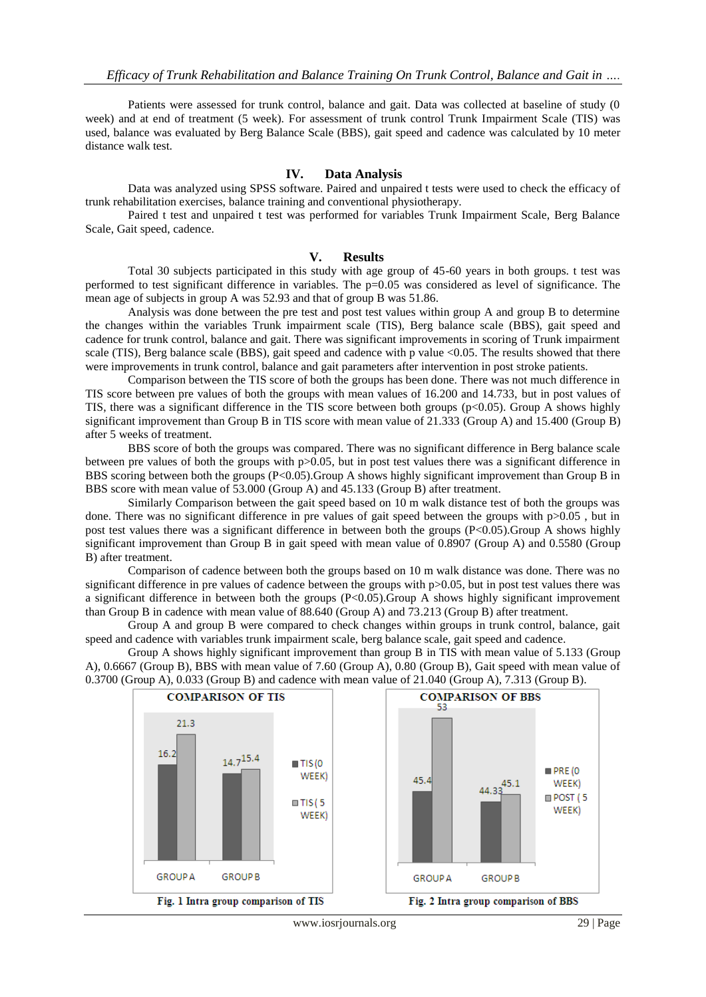Patients were assessed for trunk control, balance and gait. Data was collected at baseline of study (0 week) and at end of treatment (5 week). For assessment of trunk control Trunk Impairment Scale (TIS) was used, balance was evaluated by Berg Balance Scale (BBS), gait speed and cadence was calculated by 10 meter distance walk test.

#### **IV. Data Analysis**

Data was analyzed using SPSS software. Paired and unpaired t tests were used to check the efficacy of trunk rehabilitation exercises, balance training and conventional physiotherapy.

Paired t test and unpaired t test was performed for variables Trunk Impairment Scale, Berg Balance Scale, Gait speed, cadence.

### **V. Results**

Total 30 subjects participated in this study with age group of 45-60 years in both groups. t test was performed to test significant difference in variables. The p=0.05 was considered as level of significance. The mean age of subjects in group A was 52.93 and that of group B was 51.86.

Analysis was done between the pre test and post test values within group A and group B to determine the changes within the variables Trunk impairment scale (TIS), Berg balance scale (BBS), gait speed and cadence for trunk control, balance and gait. There was significant improvements in scoring of Trunk impairment scale (TIS), Berg balance scale (BBS), gait speed and cadence with p value <0.05. The results showed that there were improvements in trunk control, balance and gait parameters after intervention in post stroke patients.

Comparison between the TIS score of both the groups has been done. There was not much difference in TIS score between pre values of both the groups with mean values of 16.200 and 14.733, but in post values of TIS, there was a significant difference in the TIS score between both groups ( $p<0.05$ ). Group A shows highly significant improvement than Group B in TIS score with mean value of 21.333 (Group A) and 15.400 (Group B) after 5 weeks of treatment.

BBS score of both the groups was compared. There was no significant difference in Berg balance scale between pre values of both the groups with p>0.05, but in post test values there was a significant difference in BBS scoring between both the groups (P<0.05).Group A shows highly significant improvement than Group B in BBS score with mean value of 53.000 (Group A) and 45.133 (Group B) after treatment.

Similarly Comparison between the gait speed based on 10 m walk distance test of both the groups was done. There was no significant difference in pre values of gait speed between the groups with p>0.05 , but in post test values there was a significant difference in between both the groups (P<0.05).Group A shows highly significant improvement than Group B in gait speed with mean value of 0.8907 (Group A) and 0.5580 (Group B) after treatment.

Comparison of cadence between both the groups based on 10 m walk distance was done. There was no significant difference in pre values of cadence between the groups with p>0.05, but in post test values there was a significant difference in between both the groups (P<0.05).Group A shows highly significant improvement than Group B in cadence with mean value of 88.640 (Group A) and 73.213 (Group B) after treatment.

Group A and group B were compared to check changes within groups in trunk control, balance, gait speed and cadence with variables trunk impairment scale, berg balance scale, gait speed and cadence.

Group A shows highly significant improvement than group B in TIS with mean value of 5.133 (Group A), 0.6667 (Group B), BBS with mean value of 7.60 (Group A), 0.80 (Group B), Gait speed with mean value of 0.3700 (Group A), 0.033 (Group B) and cadence with mean value of 21.040 (Group A), 7.313 (Group B).

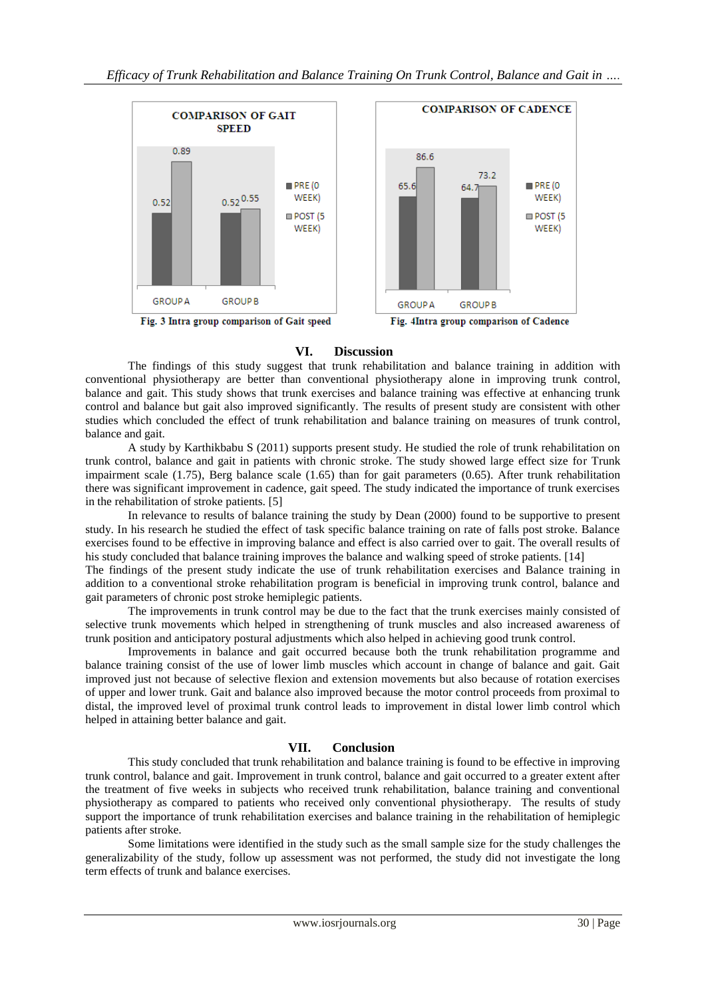

### **VI. Discussion**

The findings of this study suggest that trunk rehabilitation and balance training in addition with conventional physiotherapy are better than conventional physiotherapy alone in improving trunk control, balance and gait. This study shows that trunk exercises and balance training was effective at enhancing trunk control and balance but gait also improved significantly. The results of present study are consistent with other studies which concluded the effect of trunk rehabilitation and balance training on measures of trunk control, balance and gait.

A study by Karthikbabu S (2011) supports present study. He studied the role of trunk rehabilitation on trunk control, balance and gait in patients with chronic stroke. The study showed large effect size for Trunk impairment scale (1.75), Berg balance scale (1.65) than for gait parameters (0.65). After trunk rehabilitation there was significant improvement in cadence, gait speed. The study indicated the importance of trunk exercises in the rehabilitation of stroke patients. [5]

In relevance to results of balance training the study by Dean (2000) found to be supportive to present study. In his research he studied the effect of task specific balance training on rate of falls post stroke. Balance exercises found to be effective in improving balance and effect is also carried over to gait. The overall results of his study concluded that balance training improves the balance and walking speed of stroke patients. [14]

The findings of the present study indicate the use of trunk rehabilitation exercises and Balance training in addition to a conventional stroke rehabilitation program is beneficial in improving trunk control, balance and gait parameters of chronic post stroke hemiplegic patients.

The improvements in trunk control may be due to the fact that the trunk exercises mainly consisted of selective trunk movements which helped in strengthening of trunk muscles and also increased awareness of trunk position and anticipatory postural adjustments which also helped in achieving good trunk control.

Improvements in balance and gait occurred because both the trunk rehabilitation programme and balance training consist of the use of lower limb muscles which account in change of balance and gait. Gait improved just not because of selective flexion and extension movements but also because of rotation exercises of upper and lower trunk. Gait and balance also improved because the motor control proceeds from proximal to distal, the improved level of proximal trunk control leads to improvement in distal lower limb control which helped in attaining better balance and gait.

## **VII. Conclusion**

This study concluded that trunk rehabilitation and balance training is found to be effective in improving trunk control, balance and gait. Improvement in trunk control, balance and gait occurred to a greater extent after the treatment of five weeks in subjects who received trunk rehabilitation, balance training and conventional physiotherapy as compared to patients who received only conventional physiotherapy. The results of study support the importance of trunk rehabilitation exercises and balance training in the rehabilitation of hemiplegic patients after stroke.

Some limitations were identified in the study such as the small sample size for the study challenges the generalizability of the study, follow up assessment was not performed, the study did not investigate the long term effects of trunk and balance exercises.